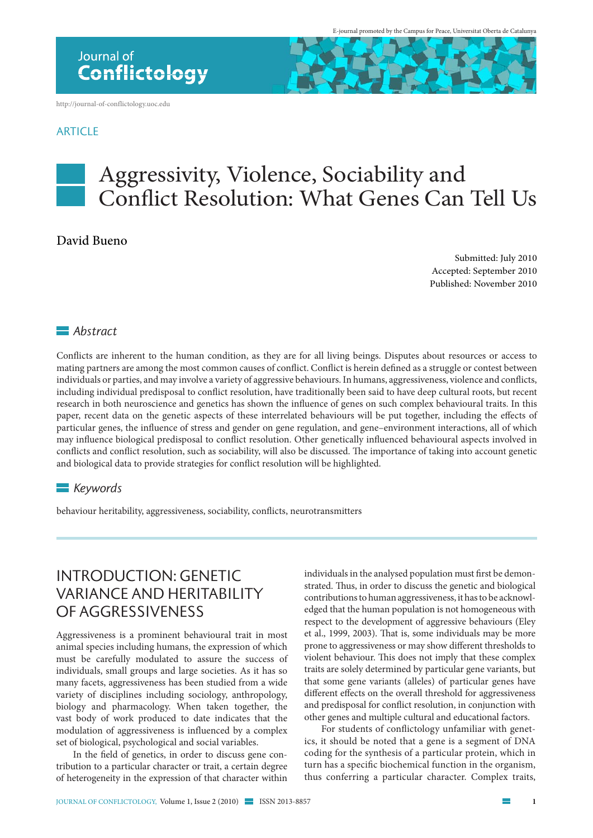http://journal-of-conflictology.uoc.edu

#### **ARTICLE**



# Aggressivity, Violence, Sociability and Conflict Resolution: What Genes Can Tell Us

#### David Bueno

Submitted: July 2010 Accepted: September 2010 Published: November 2010

#### *Abstract*

Conflicts are inherent to the human condition, as they are for all living beings. Disputes about resources or access to mating partners are among the most common causes of conflict. Conflict is herein defined as a struggle or contest between individuals or parties, and may involve a variety of aggressive behaviours. In humans, aggressiveness, violence and conflicts, including individual predisposal to conflict resolution, have traditionally been said to have deep cultural roots, but recent research in both neuroscience and genetics has shown the influence of genes on such complex behavioural traits. In this paper, recent data on the genetic aspects of these interrelated behaviours will be put together, including the effects of particular genes, the influence of stress and gender on gene regulation, and gene–environment interactions, all of which may influence biological predisposal to conflict resolution. Other genetically influenced behavioural aspects involved in conflicts and conflict resolution, such as sociability, will also be discussed. The importance of taking into account genetic and biological data to provide strategies for conflict resolution will be highlighted.

#### *Keywords*

behaviour heritability, aggressiveness, sociability, conflicts, neurotransmitters

#### Introduction: genetic variance and heritability of aggressiveness

Aggressiveness is a prominent behavioural trait in most animal species including humans, the expression of which must be carefully modulated to assure the success of individuals, small groups and large societies. As it has so many facets, aggressiveness has been studied from a wide variety of disciplines including sociology, anthropology, biology and pharmacology. When taken together, the vast body of work produced to date indicates that the modulation of aggressiveness is influenced by a complex set of biological, psychological and social variables.

In the field of genetics, in order to discuss gene contribution to a particular character or trait, a certain degree of heterogeneity in the expression of that character within

individuals in the analysed population must first be demonstrated. Thus, in order to discuss the genetic and biological contributions to human aggressiveness, it has to be acknowledged that the human population is not homogeneous with respect to the development of aggressive behaviours (Eley et al., 1999, 2003). That is, some individuals may be more prone to aggressiveness or may show different thresholds to violent behaviour. This does not imply that these complex traits are solely determined by particular gene variants, but that some gene variants (alleles) of particular genes have different effects on the overall threshold for aggressiveness and predisposal for conflict resolution, in conjunction with other genes and multiple cultural and educational factors.

For students of conflictology unfamiliar with genetics, it should be noted that a gene is a segment of DNA coding for the synthesis of a particular protein, which in turn has a specific biochemical function in the organism, thus conferring a particular character. Complex traits,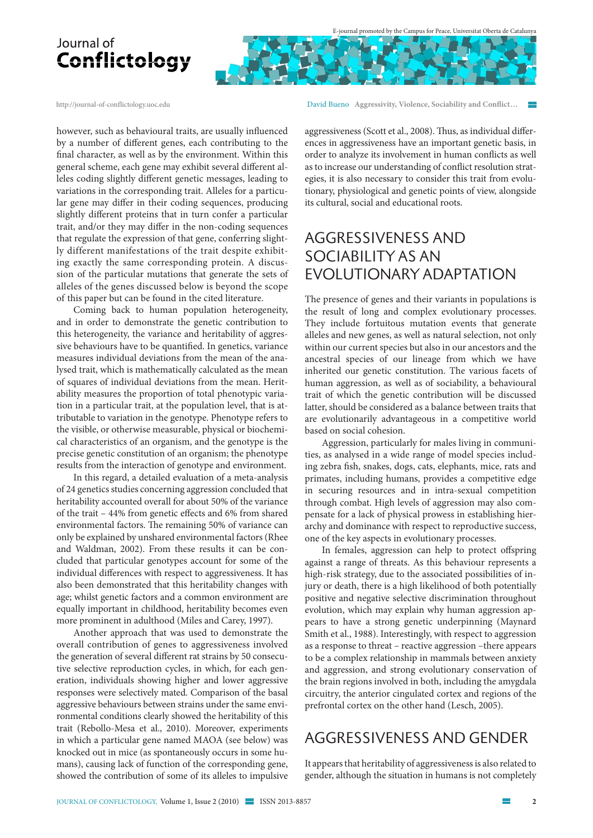E-journal promoted by the Campus for Peace, Universitat Oberta de Catalunya

## Journal of Conflictology

http://journal-of-conflictology.uoc.edu

however, such as behavioural traits, are usually influenced by a number of different genes, each contributing to the final character, as well as by the environment. Within this general scheme, each gene may exhibit several different alleles coding slightly different genetic messages, leading to variations in the corresponding trait. Alleles for a particular gene may differ in their coding sequences, producing slightly different proteins that in turn confer a particular trait, and/or they may differ in the non-coding sequences that regulate the expression of that gene, conferring slightly different manifestations of the trait despite exhibiting exactly the same corresponding protein. A discussion of the particular mutations that generate the sets of alleles of the genes discussed below is beyond the scope of this paper but can be found in the cited literature.

Coming back to human population heterogeneity, and in order to demonstrate the genetic contribution to this heterogeneity, the variance and heritability of aggressive behaviours have to be quantified. In genetics, variance measures individual deviations from the mean of the analysed trait, which is mathematically calculated as the mean of squares of individual deviations from the mean. Heritability measures the proportion of total phenotypic variation in a particular trait, at the population level, that is attributable to variation in the genotype. Phenotype refers to the visible, or otherwise measurable, physical or biochemical characteristics of an organism, and the genotype is the precise genetic constitution of an organism; the phenotype results from the interaction of genotype and environment.

In this regard, a detailed evaluation of a meta-analysis of 24 genetics studies concerning aggression concluded that heritability accounted overall for about 50% of the variance of the trait – 44% from genetic effects and 6% from shared environmental factors. The remaining 50% of variance can only be explained by unshared environmental factors (Rhee and Waldman, 2002). From these results it can be concluded that particular genotypes account for some of the individual differences with respect to aggressiveness. It has also been demonstrated that this heritability changes with age; whilst genetic factors and a common environment are equally important in childhood, heritability becomes even more prominent in adulthood (Miles and Carey, 1997).

Another approach that was used to demonstrate the overall contribution of genes to aggressiveness involved the generation of several different rat strains by 50 consecutive selective reproduction cycles, in which, for each generation, individuals showing higher and lower aggressive responses were selectively mated. Comparison of the basal aggressive behaviours between strains under the same environmental conditions clearly showed the heritability of this trait (Rebollo-Mesa et al., 2010). Moreover, experiments in which a particular gene named MAOA (see below) was knocked out in mice (as spontaneously occurs in some humans), causing lack of function of the corresponding gene, showed the contribution of some of its alleles to impulsive David Bueno **Aggressivity, Violence, Sociability and Conflict…** 

aggressiveness (Scott et al., 2008). Thus, as individual differences in aggressiveness have an important genetic basis, in order to analyze its involvement in human conflicts as well as to increase our understanding of conflict resolution strategies, it is also necessary to consider this trait from evolutionary, physiological and genetic points of view, alongside its cultural, social and educational roots.

### Aggressiveness and sociaBIlity as an evolutionary adaptation

The presence of genes and their variants in populations is the result of long and complex evolutionary processes. They include fortuitous mutation events that generate alleles and new genes, as well as natural selection, not only within our current species but also in our ancestors and the ancestral species of our lineage from which we have inherited our genetic constitution. The various facets of human aggression, as well as of sociability, a behavioural trait of which the genetic contribution will be discussed latter, should be considered as a balance between traits that are evolutionarily advantageous in a competitive world based on social cohesion.

Aggression, particularly for males living in communities, as analysed in a wide range of model species including zebra fish, snakes, dogs, cats, elephants, mice, rats and primates, including humans, provides a competitive edge in securing resources and in intra-sexual competition through combat. High levels of aggression may also compensate for a lack of physical prowess in establishing hierarchy and dominance with respect to reproductive success, one of the key aspects in evolutionary processes.

In females, aggression can help to protect offspring against a range of threats. As this behaviour represents a high-risk strategy, due to the associated possibilities of injury or death, there is a high likelihood of both potentially positive and negative selective discrimination throughout evolution, which may explain why human aggression appears to have a strong genetic underpinning (Maynard Smith et al., 1988). Interestingly, with respect to aggression as a response to threat – reactive aggression –there appears to be a complex relationship in mammals between anxiety and aggression, and strong evolutionary conservation of the brain regions involved in both, including the amygdala circuitry, the anterior cingulated cortex and regions of the prefrontal cortex on the other hand (Lesch, 2005).

#### Aggressiveness and gender

It appears that heritability of aggressiveness is also related to gender, although the situation in humans is not completely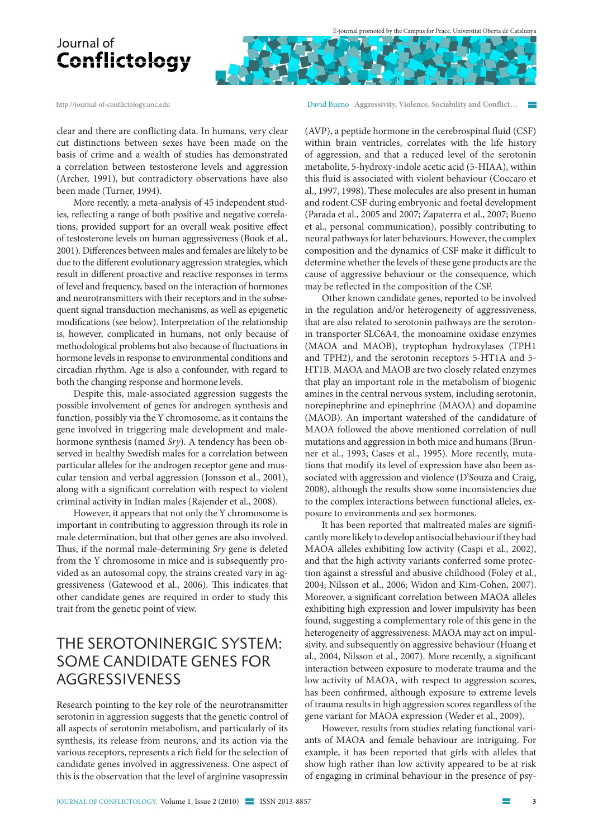

http://journal-of-conflictology.uoc.edu

clear and there are conflicting data. In humans, very clear cut distinctions between sexes have been made on the basis of crime and a wealth of studies has demonstrated a correlation between testosterone levels and aggression (Archer, 1991), but contradictory observations have also been made (Turner, 1994).

More recently, a meta-analysis of 45 independent studies, reflecting a range of both positive and negative correlations, provided support for an overall weak positive effect of testosterone levels on human aggressiveness (Book et al., 2001). Differences between males and females are likely to be due to the different evolutionary aggression strategies, which result in different proactive and reactive responses in terms of level and frequency, based on the interaction of hormones and neurotransmitters with their receptors and in the subsequent signal transduction mechanisms, as well as epigenetic modifications (see below). Interpretation of the relationship is, however, complicated in humans, not only because of methodological problems but also because of fluctuations in hormone levels in response to environmental conditions and circadian rhythm. Age is also a confounder, with regard to both the changing response and hormone levels.

Despite this, male-associated aggression suggests the possible involvement of genes for androgen synthesis and function, possibly via the Y chromosome, as it contains the gene involved in triggering male development and malehormone synthesis (named *Sry*). A tendency has been observed in healthy Swedish males for a correlation between particular alleles for the androgen receptor gene and muscular tension and verbal aggression (Jonsson et al., 2001), along with a significant correlation with respect to violent criminal activity in Indian males (Rajender et al., 2008).

However, it appears that not only the Y chromosome is important in contributing to aggression through its role in male determination, but that other genes are also involved. Thus, if the normal male-determining *Sry* gene is deleted from the Y chromosome in mice and is subsequently provided as an autosomal copy, the strains created vary in aggressiveness (Gatewood et al., 2006). This indicates that other candidate genes are required in order to study this trait from the genetic point of view.

### The serotoninergic system: some candidate genes for aggressiveness

Research pointing to the key role of the neurotransmitter serotonin in aggression suggests that the genetic control of all aspects of serotonin metabolism, and particularly of its synthesis, its release from neurons, and its action via the various receptors, represents a rich field for the selection of candidate genes involved in aggressiveness. One aspect of this is the observation that the level of arginine vasopressin

David Bueno **Aggressivity, Violence, Sociability and Conflict…** 

(AVP), a peptide hormone in the cerebrospinal fluid (CSF) within brain ventricles, correlates with the life history of aggression, and that a reduced level of the serotonin metabolite, 5-hydroxy-indole acetic acid (5-HIAA), within this fluid is associated with violent behaviour (Coccaro et al., 1997, 1998). These molecules are also present in human and rodent CSF during embryonic and foetal development (Parada et al., 2005 and 2007; Zapaterra et al., 2007; Bueno et al., personal communication), possibly contributing to neural pathways for later behaviours. However, the complex composition and the dynamics of CSF make it difficult to determine whether the levels of these gene products are the cause of aggressive behaviour or the consequence, which may be reflected in the composition of the CSF.

Other known candidate genes, reported to be involved in the regulation and/or heterogeneity of aggressiveness, that are also related to serotonin pathways are the serotonin transporter SLC6A4, the monoamine oxidase enzymes (MAOA and MAOB), tryptophan hydroxylases (TPH1 and TPH2), and the serotonin receptors 5-HT1A and 5- HT1B. MAOA and MAOB are two closely related enzymes that play an important role in the metabolism of biogenic amines in the central nervous system, including serotonin, norepinephrine and epinephrine (MAOA) and dopamine (MAOB). An important watershed of the candidature of MAOA followed the above mentioned correlation of null mutations and aggression in both mice and humans (Brunner et al., 1993; Cases et al., 1995). More recently, mutations that modify its level of expression have also been associated with aggression and violence (D'Souza and Craig, 2008), although the results show some inconsistencies due to the complex interactions between functional alleles, exposure to environments and sex hormones.

It has been reported that maltreated males are significantly more likely to develop antisocial behaviour if they had MAOA alleles exhibiting low activity (Caspi et al., 2002), and that the high activity variants conferred some protection against a stressful and abusive childhood (Foley et al., 2004; Nilsson et al., 2006; Widon and Kim-Cohen, 2007). Moreover, a significant correlation between MAOA alleles exhibiting high expression and lower impulsivity has been found, suggesting a complementary role of this gene in the heterogeneity of aggressiveness: MAOA may act on impulsivity, and subsequently on aggressive behaviour (Huang et al., 2004, Nilsson et al., 2007). More recently, a significant interaction between exposure to moderate trauma and the low activity of MAOA, with respect to aggression scores, has been confirmed, although exposure to extreme levels of trauma results in high aggression scores regardless of the gene variant for MAOA expression (Weder et al., 2009).

However, results from studies relating functional variants of MAOA and female behaviour are intriguing. For example, it has been reported that girls with alleles that show high rather than low activity appeared to be at risk of engaging in criminal behaviour in the presence of psy-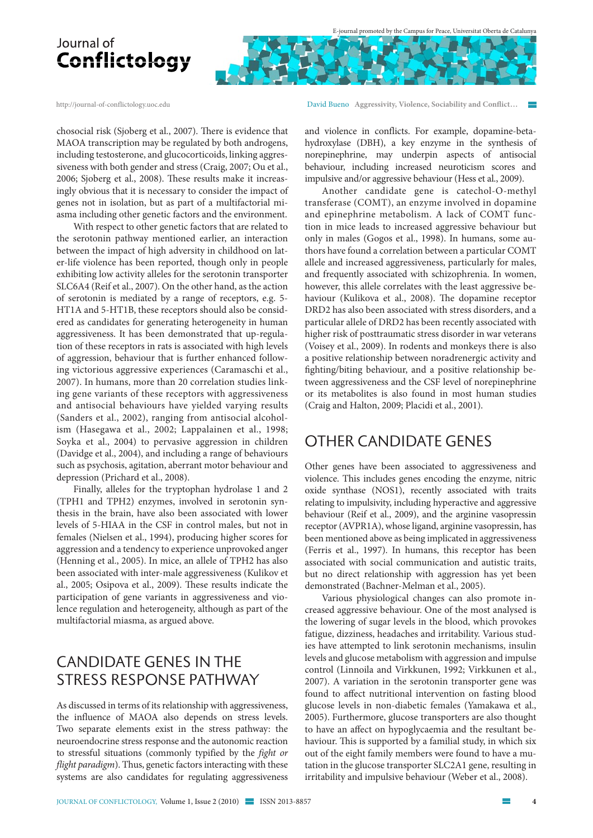

http://journal-of-conflictology.uoc.edu

chosocial risk (Sjoberg et al., 2007). There is evidence that MAOA transcription may be regulated by both androgens, including testosterone, and glucocorticoids, linking aggressiveness with both gender and stress (Craig, 2007; Ou et al., 2006; Sjoberg et al., 2008). These results make it increasingly obvious that it is necessary to consider the impact of genes not in isolation, but as part of a multifactorial miasma including other genetic factors and the environment.

With respect to other genetic factors that are related to the serotonin pathway mentioned earlier, an interaction between the impact of high adversity in childhood on later-life violence has been reported, though only in people exhibiting low activity alleles for the serotonin transporter SLC6A4 (Reif et al., 2007). On the other hand, as the action of serotonin is mediated by a range of receptors, e.g. 5- HT1A and 5-HT1B, these receptors should also be considered as candidates for generating heterogeneity in human aggressiveness. It has been demonstrated that up-regulation of these receptors in rats is associated with high levels of aggression, behaviour that is further enhanced following victorious aggressive experiences (Caramaschi et al., 2007). In humans, more than 20 correlation studies linking gene variants of these receptors with aggressiveness and antisocial behaviours have yielded varying results (Sanders et al., 2002), ranging from antisocial alcoholism (Hasegawa et al., 2002; Lappalainen et al., 1998; Soyka et al., 2004) to pervasive aggression in children (Davidge et al., 2004), and including a range of behaviours such as psychosis, agitation, aberrant motor behaviour and depression (Prichard et al., 2008).

Finally, alleles for the tryptophan hydrolase 1 and 2 (TPH1 and TPH2) enzymes, involved in serotonin synthesis in the brain, have also been associated with lower levels of 5-HIAA in the CSF in control males, but not in females (Nielsen et al., 1994), producing higher scores for aggression and a tendency to experience unprovoked anger (Henning et al., 2005). In mice, an allele of TPH2 has also been associated with inter-male aggressiveness (Kulikov et al., 2005; Osipova et al., 2009). These results indicate the participation of gene variants in aggressiveness and violence regulation and heterogeneity, although as part of the multifactorial miasma, as argued above.

### Candidate genes in the stress response pathway

As discussed in terms of its relationship with aggressiveness, the influence of MAOA also depends on stress levels. Two separate elements exist in the stress pathway: the neuroendocrine stress response and the autonomic reaction to stressful situations (commonly typified by the *fight or flight paradigm*). Thus, genetic factors interacting with these systems are also candidates for regulating aggressiveness David Bueno **Aggressivity, Violence, Sociability and Conflict…** 

and violence in conflicts. For example, dopamine-betahydroxylase (DBH), a key enzyme in the synthesis of norepinephrine, may underpin aspects of antisocial behaviour, including increased neuroticism scores and impulsive and/or aggressive behaviour (Hess et al., 2009).

Another candidate gene is catechol-O-methyl transferase (COMT), an enzyme involved in dopamine and epinephrine metabolism. A lack of COMT function in mice leads to increased aggressive behaviour but only in males (Gogos et al., 1998). In humans, some authors have found a correlation between a particular COMT allele and increased aggressiveness, particularly for males, and frequently associated with schizophrenia. In women, however, this allele correlates with the least aggressive behaviour (Kulikova et al., 2008). The dopamine receptor DRD2 has also been associated with stress disorders, and a particular allele of DRD2 has been recently associated with higher risk of posttraumatic stress disorder in war veterans (Voisey et al., 2009). In rodents and monkeys there is also a positive relationship between noradrenergic activity and fighting/biting behaviour, and a positive relationship between aggressiveness and the CSF level of norepinephrine or its metabolites is also found in most human studies (Craig and Halton, 2009; Placidi et al., 2001).

#### Other candidate genes

Other genes have been associated to aggressiveness and violence. This includes genes encoding the enzyme, nitric oxide synthase (NOS1), recently associated with traits relating to impulsivity, including hyperactive and aggressive behaviour (Reif et al., 2009), and the arginine vasopressin receptor (AVPR1A), whose ligand, arginine vasopressin, has been mentioned above as being implicated in aggressiveness (Ferris et al., 1997). In humans, this receptor has been associated with social communication and autistic traits, but no direct relationship with aggression has yet been demonstrated (Bachner-Melman et al., 2005).

Various physiological changes can also promote increased aggressive behaviour. One of the most analysed is the lowering of sugar levels in the blood, which provokes fatigue, dizziness, headaches and irritability. Various studies have attempted to link serotonin mechanisms, insulin levels and glucose metabolism with aggression and impulse control (Linnoila and Virkkunen, 1992; Virkkunen et al., 2007). A variation in the serotonin transporter gene was found to affect nutritional intervention on fasting blood glucose levels in non-diabetic females (Yamakawa et al., 2005). Furthermore, glucose transporters are also thought to have an affect on hypoglycaemia and the resultant behaviour. This is supported by a familial study, in which six out of the eight family members were found to have a mutation in the glucose transporter SLC2A1 gene, resulting in irritability and impulsive behaviour (Weber et al., 2008).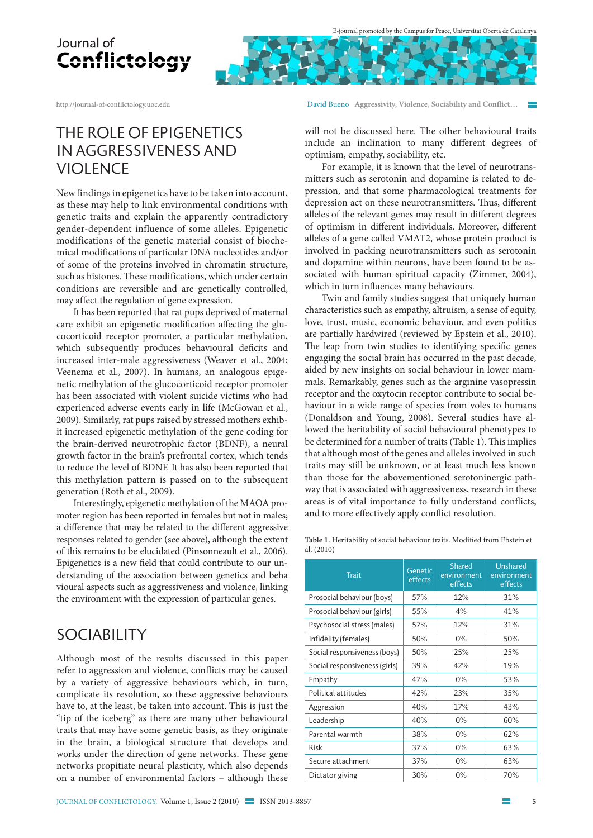

http://journal-of-conflictology.uoc.edu

### The role of epigenetics in aggressiveness and **VIOLENCE**

New findings in epigenetics have to be taken into account, as these may help to link environmental conditions with genetic traits and explain the apparently contradictory gender-dependent influence of some alleles. Epigenetic modifications of the genetic material consist of biochemical modifications of particular DNA nucleotides and/or of some of the proteins involved in chromatin structure, such as histones. These modifications, which under certain conditions are reversible and are genetically controlled, may affect the regulation of gene expression.

It has been reported that rat pups deprived of maternal care exhibit an epigenetic modification affecting the glucocorticoid receptor promoter, a particular methylation, which subsequently produces behavioural deficits and increased inter-male aggressiveness (Weaver et al., 2004; Veenema et al., 2007). In humans, an analogous epigenetic methylation of the glucocorticoid receptor promoter has been associated with violent suicide victims who had experienced adverse events early in life (McGowan et al., 2009). Similarly, rat pups raised by stressed mothers exhibit increased epigenetic methylation of the gene coding for the brain-derived neurotrophic factor (BDNF), a neural growth factor in the brain's prefrontal cortex, which tends to reduce the level of BDNF. It has also been reported that this methylation pattern is passed on to the subsequent generation (Roth et al., 2009).

Interestingly, epigenetic methylation of the MAOA promoter region has been reported in females but not in males; a difference that may be related to the different aggressive responses related to gender (see above), although the extent of this remains to be elucidated (Pinsonneault et al., 2006). Epigenetics is a new field that could contribute to our understanding of the association between genetics and beha vioural aspects such as aggressiveness and violence, linking the environment with the expression of particular genes.

### **SOCIABILITY**

Although most of the results discussed in this paper refer to aggression and violence, conflicts may be caused by a variety of aggressive behaviours which, in turn, complicate its resolution, so these aggressive behaviours have to, at the least, be taken into account. This is just the "tip of the iceberg" as there are many other behavioural traits that may have some genetic basis, as they originate in the brain, a biological structure that develops and works under the direction of gene networks. These gene networks propitiate neural plasticity, which also depends on a number of environmental factors – although these

David Bueno **Aggressivity, Violence, Sociability and Conflict…** 

will not be discussed here. The other behavioural traits include an inclination to many different degrees of optimism, empathy, sociability, etc.

For example, it is known that the level of neurotransmitters such as serotonin and dopamine is related to depression, and that some pharmacological treatments for depression act on these neurotransmitters. Thus, different alleles of the relevant genes may result in different degrees of optimism in different individuals. Moreover, different alleles of a gene called VMAT2, whose protein product is involved in packing neurotransmitters such as serotonin and dopamine within neurons, have been found to be associated with human spiritual capacity (Zimmer, 2004), which in turn influences many behaviours.

Twin and family studies suggest that uniquely human characteristics such as empathy, altruism, a sense of equity, love, trust, music, economic behaviour, and even politics are partially hardwired (reviewed by Epstein et al., 2010). The leap from twin studies to identifying specific genes engaging the social brain has occurred in the past decade, aided by new insights on social behaviour in lower mammals. Remarkably, genes such as the arginine vasopressin receptor and the oxytocin receptor contribute to social behaviour in a wide range of species from voles to humans (Donaldson and Young, 2008). Several studies have allowed the heritability of social behavioural phenotypes to be determined for a number of traits (Table 1). This implies that although most of the genes and alleles involved in such traits may still be unknown, or at least much less known than those for the abovementioned serotoninergic pathway that is associated with aggressiveness, research in these areas is of vital importance to fully understand conflicts, and to more effectively apply conflict resolution.

**Table 1.** Heritability of social behaviour traits. Modified from Ebstein et al. (2010)

| <b>Trait</b>                  | Genetic<br>effects | <b>Shared</b><br>environment<br>effects | Unshared<br>environment<br>effects |
|-------------------------------|--------------------|-----------------------------------------|------------------------------------|
| Prosocial behaviour (boys)    | 57%                | 12%                                     | 31%                                |
| Prosocial behaviour (girls)   | 55%                | 4%                                      | 41%                                |
| Psychosocial stress (males)   | 57%                | 12%                                     | 31%                                |
| Infidelity (females)          | 50%                | $0\%$                                   | 50%                                |
| Social responsiveness (boys)  | 50%                | 25%                                     | 25%                                |
| Social responsiveness (girls) | 39%                | 42%                                     | 19%                                |
| Empathy                       | 47%                | $0\%$                                   | 53%                                |
| Political attitudes           | 42%                | 23%                                     | 35%                                |
| Aggression                    | 40%                | 17%                                     | 43%                                |
| Leadership                    | 40%                | $0\%$                                   | 60%                                |
| Parental warmth               | 38%                | $0\%$                                   | 62%                                |
| <b>Risk</b>                   | 37%                | $0\%$                                   | 63%                                |
| Secure attachment             | 37%                | $0\%$                                   | 63%                                |
| Dictator giving               | 30%                | 0%                                      | 70%                                |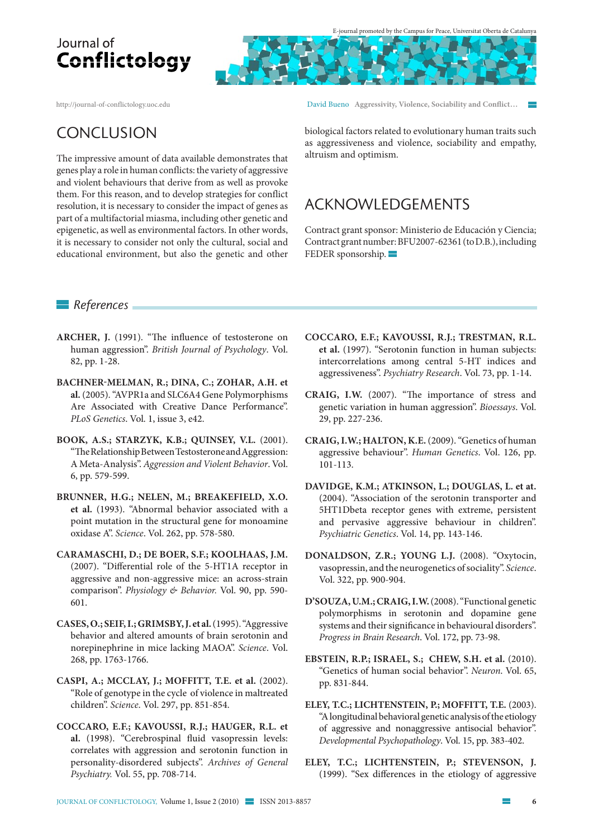E-journal promoted by the Campus for Peace, Universitat Oberta de Catalunya

http://journal-of-conflictology.uoc.edu

David Bueno **Aggressivity, Violence, Sociability and Conflict…** 

### Conclusion

The impressive amount of data available demonstrates that genes play a role in human conflicts: the variety of aggressive and violent behaviours that derive from as well as provoke them. For this reason, and to develop strategies for conflict resolution, it is necessary to consider the impact of genes as part of a multifactorial miasma, including other genetic and epigenetic, as well as environmental factors. In other words, it is necessary to consider not only the cultural, social and educational environment, but also the genetic and other biological factors related to evolutionary human traits such as aggressiveness and violence, sociability and empathy, altruism and optimism.

### Acknowledgements

Contract grant sponsor: Ministerio de Educación y Ciencia; Contract grant number: BFU2007-62361 (to D.B.), including FEDER sponsorship.

#### *References*

- **ARCHER, J.** (1991). "The influence of testosterone on human aggression". *British Journal of Psychology*. Vol. 82, pp. 1-28.
- **BACHNER-MELMAN, R.; DINA, C.; ZOHAR, A.H. et al.** (2005). "AVPR1a and SLC6A4 Gene Polymorphisms Are Associated with Creative Dance Performance". *PLoS Genetics*. Vol. 1, issue 3, e42.
- **BOOK, A.S.; STARZYK, K.B.; QUINSEY, V.L.** (2001). "The Relationship Between Testosterone and Aggression: A Meta-Analysis". *Aggression and Violent Behavior*. Vol. 6, pp. 579-599.
- **BRUNNER, H.G.; NELEN, M.; BREAKEFIELD, X.O. et al.** (1993). "Abnormal behavior associated with a point mutation in the structural gene for monoamine oxidase A". *Science*. Vol. 262, pp. 578-580.
- **CARAMASCHI, D.; DE BOER, S.F.; KOOLHAAS, J.M.**  (2007). "Differential role of the 5-HT1A receptor in aggressive and non-aggressive mice: an across-strain comparison". *Physiology & Behavior.* Vol. 90, pp. 590- 601.
- **CASES, O.; SEIF, I.; GRIMSBY, J. et al.** (1995). "Aggressive behavior and altered amounts of brain serotonin and norepinephrine in mice lacking MAOA". *Science*. Vol. 268, pp. 1763-1766.
- **CASPI, A.; MCCLAY, J.; MOFFITT, T.E. et al.** (2002). "Role of genotype in the cycle of violence in maltreated children". *Science*. Vol. 297, pp. 851-854.
- **COCCARO, E.F.; KAVOUSSI, R.J.; HAUGER, R.L. et al.** (1998). "Cerebrospinal fluid vasopressin levels: correlates with aggression and serotonin function in personality-disordered subjects". *Archives of General Psychiatry.* Vol. 55, pp. 708-714.
- **COCCARO, E.F.; KAVOUSSI, R.J.; TRESTMAN, R.L. et al.** (1997). "Serotonin function in human subjects: intercorrelations among central 5-HT indices and aggressiveness". *Psychiatry Research*. Vol. 73, pp. 1-14.
- **CRAIG, I.W.** (2007). "The importance of stress and genetic variation in human aggression". *Bioessays*. Vol. 29, pp. 227-236.
- **CRAIG, I.W.; HALTON, K.E.** (2009). "Genetics of human aggressive behaviour". *Human Genetics*. Vol. 126, pp. 101-113.
- **DAVIDGE, K.M.; ATKINSON, L.; DOUGLAS, L. et at.** (2004). "Association of the serotonin transporter and 5HT1Dbeta receptor genes with extreme, persistent and pervasive aggressive behaviour in children". *Psychiatric Genetics*. Vol. 14, pp. 143-146.
- **DONALDSON, Z.R.; YOUNG L.J.** (2008). "Oxytocin, vasopressin, and the neurogenetics of sociality". *Science*. Vol. 322, pp. 900-904.
- **D'SOUZA, U.M.; CRAIG, I.W.** (2008). "Functional genetic polymorphisms in serotonin and dopamine gene systems and their significance in behavioural disorders". *Progress in Brain Research*. Vol. 172, pp. 73-98.
- **EBSTEIN, R.P.; ISRAEL, S.; CHEW, S.H. et al.** (2010). "Genetics of human social behavior". *Neuron*. Vol. 65, pp. 831-844.
- **ELEY, T.C.; LICHTENSTEIN, P.; MOFFITT, T.E.** (2003). "A longitudinal behavioral genetic analysis of the etiology of aggressive and nonaggressive antisocial behavior". *Developmental Psychopathology*. Vol. 15, pp. 383-402.
- **ELEY, T.C.; LICHTENSTEIN, P.; STEVENSON, J.** (1999). "Sex differences in the etiology of aggressive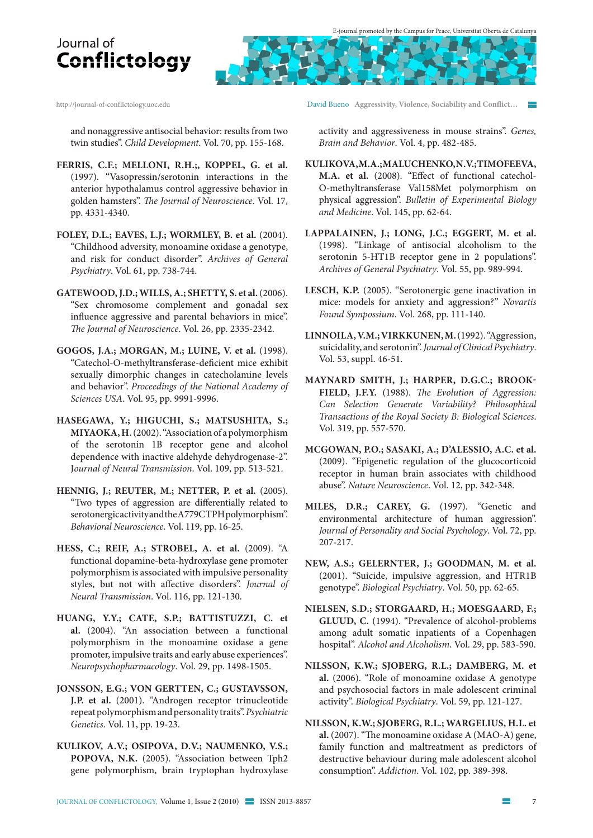

http://journal-of-conflictology.uoc.edu

and nonaggressive antisocial behavior: results from two twin studies". *Child Development*. Vol. 70, pp. 155-168.

- **FERRIS, C.F.; MELLONI, R.H.;, KOPPEL, G. et al.** (1997). "Vasopressin/serotonin interactions in the anterior hypothalamus control aggressive behavior in golden hamsters". *The Journal of Neuroscience*. Vol. 17, pp. 4331-4340.
- **FOLEY, D.L.; EAVES, L.J.; WORMLEY, B. et al.** (2004). "Childhood adversity, monoamine oxidase a genotype, and risk for conduct disorder". *Archives of General Psychiatry*. Vol. 61, pp. 738-744.
- **GATEWOOD, J.D.; WILLS, A.; SHETTY, S. et al.** (2006). "Sex chromosome complement and gonadal sex influence aggressive and parental behaviors in mice". *The Journal of Neuroscience*. Vol. 26, pp. 2335-2342.
- **GOGOS, J.A.; MORGAN, M.; LUINE, V. et al.** (1998). "Catechol-O-methyltransferase-deficient mice exhibit sexually dimorphic changes in catecholamine levels and behavior". *Proceedings of the National Academy of Sciences USA*. Vol. 95, pp. 9991-9996.
- **HASEGAWA, Y.; HIGUCHI, S.; MATSUSHITA, S.; MIYAOKA, H.** (2002). "Association of a polymorphism of the serotonin 1B receptor gene and alcohol dependence with inactive aldehyde dehydrogenase-2". J*ournal of Neural Transmission*. Vol. 109, pp. 513-521.
- **HENNIG, J.; REUTER, M.; NETTER, P. et al.** (2005). "Two types of aggression are differentially related to serotonergic activity and the A779C TPH polymorphism". *Behavioral Neuroscience*. Vol. 119, pp. 16-25.
- **HESS, C.; REIF, A.; STROBEL, A. et al.** (2009). "A functional dopamine-beta-hydroxylase gene promoter polymorphism is associated with impulsive personality styles, but not with affective disorders". *Journal of Neural Transmission*. Vol. 116, pp. 121-130.
- **HUANG, Y.Y.; CATE, S.P.; BATTISTUZZI, C. et al.** (2004). "An association between a functional polymorphism in the monoamine oxidase a gene promoter, impulsive traits and early abuse experiences". *Neuropsychopharmacology*. Vol. 29, pp. 1498-1505.
- **JONSSON, E.G.; VON GERTTEN, C.; GUSTAVSSON, J.P. et al.** (2001). "Androgen receptor trinucleotide repeat polymorphism and personality traits". *Psychiatric Genetics*. Vol. 11, pp. 19-23.
- **KULIKOV, A.V.; OSIPOVA, D.V.; NAUMENKO, V.S.; POPOVA, N.K.** (2005). "Association between Tph2 gene polymorphism, brain tryptophan hydroxylase

David Bueno **Aggressivity, Violence, Sociability and Conflict…** 

activity and aggressiveness in mouse strains". *Genes, Brain and Behavior*. Vol. 4, pp. 482-485.

- **KULIKOVA, M.A.; MALUCHENKO, N.V.; TIMOFEEVA, M.A. et al.** (2008). "Effect of functional catechol-O-methyltransferase Val158Met polymorphism on physical aggression". *Bulletin of Experimental Biology and Medicine*. Vol. 145, pp. 62-64.
- **LAPPALAINEN, J.; LONG, J.C.; EGGERT, M. et al.** (1998). "Linkage of antisocial alcoholism to the serotonin 5-HT1B receptor gene in 2 populations". *Archives of General Psychiatry*. Vol. 55, pp. 989-994.
- **LESCH, K.P.** (2005). "Serotonergic gene inactivation in mice: models for anxiety and aggression?" *Novartis Found Sympossium*. Vol. 268, pp. 111-140.
- **LINNOILA, V.M.; VIRKKUNEN, M.** (1992). "Aggression, suicidality, and serotonin". *Journal of Clinical Psychiatry*. Vol. 53, suppl. 46-51.
- **MAYNARD SMITH, J.; HARPER, D.G.C.; BROOK-FIELD, J.F.Y.** (1988). *The Evolution of Aggression: Can Selection Generate Variability? Philosophical Transactions of the Royal Society B: Biological Sciences*. Vol. 319, pp. 557-570.
- **MCGOWAN, P.O.; SASAKI, A.; D'ALESSIO, A.C. et al.** (2009). "Epigenetic regulation of the glucocorticoid receptor in human brain associates with childhood abuse". *Nature Neuroscience*. Vol. 12, pp. 342-348.
- **MILES, D.R.; CAREY, G.** (1997). "Genetic and environmental architecture of human aggression". *Journal of Personality and Social Psychology*. Vol. 72, pp. 207-217.
- **NEW, A.S.; GELERNTER, J.; GOODMAN, M. et al.**  (2001). "Suicide, impulsive aggression, and HTR1B genotype". *Biological Psychiatry*. Vol. 50, pp. 62-65.
- **NIELSEN, S.D.; STORGAARD, H.; MOESGAARD, F.; GLUUD, C.** (1994). "Prevalence of alcohol-problems among adult somatic inpatients of a Copenhagen hospital". *Alcohol and Alcoholism*. Vol. 29, pp. 583-590.
- **NILSSON, K.W.; SJOBERG, R.L.; DAMBERG, M. et al.** (2006). "Role of monoamine oxidase A genotype and psychosocial factors in male adolescent criminal activity". *Biological Psychiatry*. Vol. 59, pp. 121-127.
- **NILSSON, K.W.; SJOBERG, R.L.; WARGELIUS, H.L. et al.** (2007). "The monoamine oxidase A (MAO-A) gene, family function and maltreatment as predictors of destructive behaviour during male adolescent alcohol consumption". *Addiction*. Vol. 102, pp. 389-398.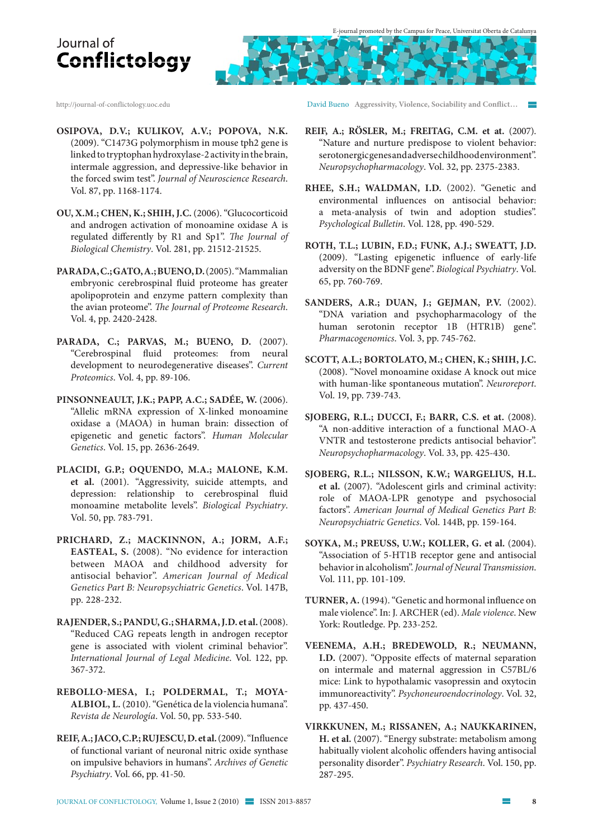http://journal-of-conflictology.uoc.edu

- **OSIPOVA, D.V.; KULIKOV, A.V.; POPOVA, N.K.** (2009). "C1473G polymorphism in mouse tph2 gene is linked to tryptophan hydroxylase-2 activity in the brain, intermale aggression, and depressive-like behavior in the forced swim test". *Journal of Neuroscience Research*. Vol. 87, pp. 1168-1174.
- **OU, X.M.; CHEN, K.; SHIH, J.C.** (2006). "Glucocorticoid and androgen activation of monoamine oxidase A is regulated differently by R1 and Sp1". *The Journal of Biological Chemistry*. Vol. 281, pp. 21512-21525.
- **PARADA, C.; GATO, A.; BUENO, D.** (2005). "Mammalian embryonic cerebrospinal fluid proteome has greater apolipoprotein and enzyme pattern complexity than the avian proteome". *The Journal of Proteome Research*. Vol. 4, pp. 2420-2428.
- **PARADA, C.; PARVAS, M.; BUENO, D.** (2007). "Cerebrospinal fluid proteomes: from neural development to neurodegenerative diseases". *Current Proteomics*. Vol. 4, pp. 89-106.
- **PINSONNEAULT, J.K.; PAPP, A.C.; SADÉE, W.** (2006). "Allelic mRNA expression of X-linked monoamine oxidase a (MAOA) in human brain: dissection of epigenetic and genetic factors". *Human Molecular Genetics*. Vol. 15, pp. 2636-2649.
- **PLACIDI, G.P.; OQUENDO, M.A.; MALONE, K.M. et al.** (2001). "Aggressivity, suicide attempts, and depression: relationship to cerebrospinal fluid monoamine metabolite levels". *Biological Psychiatry*. Vol. 50, pp. 783-791.
- **PRICHARD, Z.; MACKINNON, A.; JORM, A.F.; EASTEAL, S.** (2008). "No evidence for interaction between MAOA and childhood adversity for antisocial behavior". *American Journal of Medical Genetics Part B: Neuropsychiatric Genetics*. Vol. 147B, pp. 228-232.
- **RAJENDER, S.; PANDU, G.; SHARMA, J.D. et al.** (2008). "Reduced CAG repeats length in androgen receptor gene is associated with violent criminal behavior". *International Journal of Legal Medicine*. Vol. 122, pp. 367-372.
- **REBOLLO-MESA, I.; POLDERMAL, T.; MOYA-ALBIOL, L.** (2010). "Genética de la violencia humana". *Revista de Neurología*. Vol. 50, pp. 533-540.
- **REIF, A.; JACO, C.P.; RUJESCU, D. et al.** (2009). "Influence of functional variant of neuronal nitric oxide synthase on impulsive behaviors in humans". *Archives of Genetic Psychiatry*. Vol. 66, pp. 41-50.

David Bueno **Aggressivity, Violence, Sociability and Conflict…** 

- **REIF, A.; RÖSLER, M.; FREITAG, C.M. et at.** (2007). "Nature and nurture predispose to violent behavior: serotonergic genes and adverse childhood environment". *Neuropsychopharmacology*. Vol. 32, pp. 2375-2383.
- **RHEE, S.H.; WALDMAN, I.D.** (2002). "Genetic and environmental influences on antisocial behavior: a meta-analysis of twin and adoption studies". *Psychological Bulletin*. Vol. 128, pp. 490-529.
- **ROTH, T.L.; LUBIN, F.D.; FUNK, A.J.; SWEATT, J.D.**  (2009). "Lasting epigenetic influence of early-life adversity on the BDNF gene". *Biological Psychiatry*. Vol. 65, pp. 760-769.
- **SANDERS, A.R.; DUAN, J.; GEJMAN, P.V.** (2002). "DNA variation and psychopharmacology of the human serotonin receptor 1B (HTR1B) gene". *Pharmacogenomics*. Vol. 3, pp. 745-762.
- **SCOTT, A.L.; BORTOLATO, M.; CHEN, K.; SHIH, J.C.**  (2008). "Novel monoamine oxidase A knock out mice with human-like spontaneous mutation". *Neuroreport*. Vol. 19, pp. 739-743.
- **SJOBERG, R.L.; DUCCI, F.; BARR, C.S. et at.** (2008). "A non-additive interaction of a functional MAO-A VNTR and testosterone predicts antisocial behavior". *Neuropsychopharmacology*. Vol. 33, pp. 425-430.
- **SJOBERG, R.L.; NILSSON, K.W.; WARGELIUS, H.L. et al.** (2007). "Adolescent girls and criminal activity: role of MAOA-LPR genotype and psychosocial factors". *American Journal of Medical Genetics Part B: Neuropsychiatric Genetics*. Vol. 144B, pp. 159-164.
- **SOYKA, M.; PREUSS, U.W.; KOLLER, G. et al.** (2004). "Association of 5-HT1B receptor gene and antisocial behavior in alcoholism". *Journal of Neural Transmission*. Vol. 111, pp. 101-109.
- **TURNER, A.** (1994). "Genetic and hormonal influence on male violence". In: J. ARCHER (ed). *Male violence*. New York: Routledge. Pp. 233-252.
- **VEENEMA, A.H.; BREDEWOLD, R.; NEUMANN, I.D.** (2007). "Opposite effects of maternal separation on intermale and maternal aggression in C57BL/6 mice: Link to hypothalamic vasopressin and oxytocin immunoreactivity". *Psychoneuroendocrinology*. Vol. 32, pp. 437-450.
- **VIRKKUNEN, M.; RISSANEN, A.; NAUKKARINEN, H. et al.** (2007). "Energy substrate: metabolism among habitually violent alcoholic offenders having antisocial personality disorder". *Psychiatry Research*. Vol. 150, pp. 287-295.